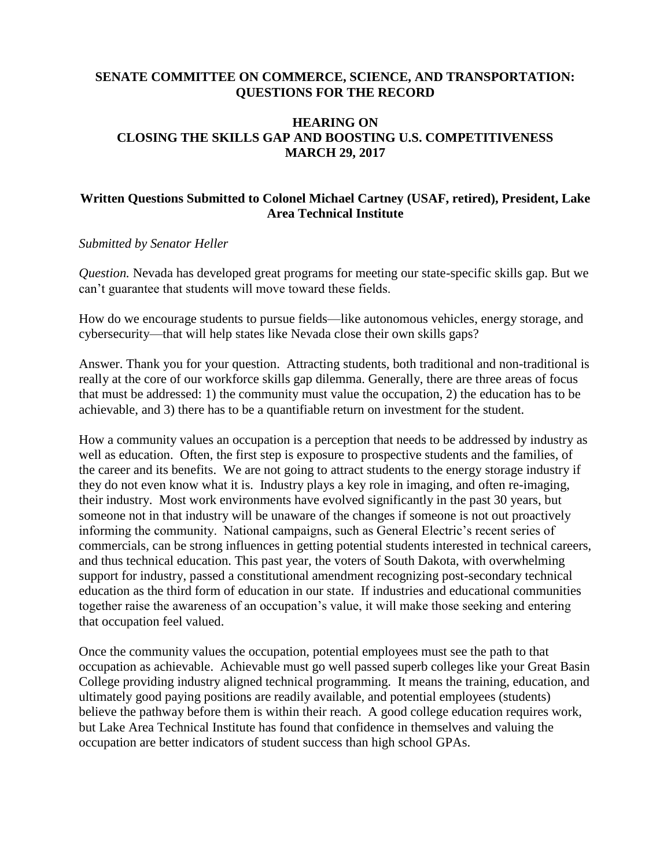# **SENATE COMMITTEE ON COMMERCE, SCIENCE, AND TRANSPORTATION: QUESTIONS FOR THE RECORD**

## **HEARING ON CLOSING THE SKILLS GAP AND BOOSTING U.S. COMPETITIVENESS MARCH 29, 2017**

# **Written Questions Submitted to Colonel Michael Cartney (USAF, retired), President, Lake Area Technical Institute**

#### *Submitted by Senator Heller*

*Question.* Nevada has developed great programs for meeting our state-specific skills gap. But we can't guarantee that students will move toward these fields.

How do we encourage students to pursue fields—like autonomous vehicles, energy storage, and cybersecurity—that will help states like Nevada close their own skills gaps?

Answer. Thank you for your question. Attracting students, both traditional and non-traditional is really at the core of our workforce skills gap dilemma. Generally, there are three areas of focus that must be addressed: 1) the community must value the occupation, 2) the education has to be achievable, and 3) there has to be a quantifiable return on investment for the student.

How a community values an occupation is a perception that needs to be addressed by industry as well as education. Often, the first step is exposure to prospective students and the families, of the career and its benefits. We are not going to attract students to the energy storage industry if they do not even know what it is. Industry plays a key role in imaging, and often re-imaging, their industry. Most work environments have evolved significantly in the past 30 years, but someone not in that industry will be unaware of the changes if someone is not out proactively informing the community. National campaigns, such as General Electric's recent series of commercials, can be strong influences in getting potential students interested in technical careers, and thus technical education. This past year, the voters of South Dakota, with overwhelming support for industry, passed a constitutional amendment recognizing post-secondary technical education as the third form of education in our state. If industries and educational communities together raise the awareness of an occupation's value, it will make those seeking and entering that occupation feel valued.

Once the community values the occupation, potential employees must see the path to that occupation as achievable. Achievable must go well passed superb colleges like your Great Basin College providing industry aligned technical programming. It means the training, education, and ultimately good paying positions are readily available, and potential employees (students) believe the pathway before them is within their reach. A good college education requires work, but Lake Area Technical Institute has found that confidence in themselves and valuing the occupation are better indicators of student success than high school GPAs.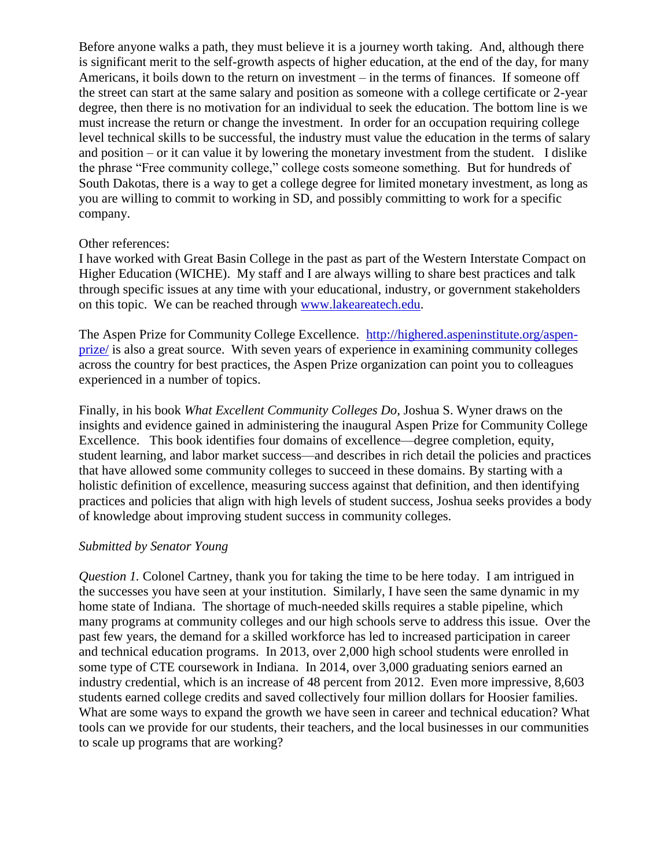Before anyone walks a path, they must believe it is a journey worth taking. And, although there is significant merit to the self-growth aspects of higher education, at the end of the day, for many Americans, it boils down to the return on investment – in the terms of finances. If someone off the street can start at the same salary and position as someone with a college certificate or 2-year degree, then there is no motivation for an individual to seek the education. The bottom line is we must increase the return or change the investment. In order for an occupation requiring college level technical skills to be successful, the industry must value the education in the terms of salary and position – or it can value it by lowering the monetary investment from the student. I dislike the phrase "Free community college," college costs someone something. But for hundreds of South Dakotas, there is a way to get a college degree for limited monetary investment, as long as you are willing to commit to working in SD, and possibly committing to work for a specific company.

#### Other references:

I have worked with Great Basin College in the past as part of the Western Interstate Compact on Higher Education (WICHE). My staff and I are always willing to share best practices and talk through specific issues at any time with your educational, industry, or government stakeholders on this topic. We can be reached through [www.lakeareatech.edu.](http://www.lakeareatech.edu/)

The Aspen Prize for Community College Excellence. [http://highered.aspeninstitute.org/aspen](http://highered.aspeninstitute.org/aspen-prize/)[prize/](http://highered.aspeninstitute.org/aspen-prize/) is also a great source. With seven years of experience in examining community colleges across the country for best practices, the Aspen Prize organization can point you to colleagues experienced in a number of topics.

Finally, in his book *What Excellent Community Colleges Do*, Joshua S. Wyner draws on the insights and evidence gained in administering the inaugural Aspen Prize for Community College Excellence. This book identifies four domains of excellence—degree completion, equity, student learning, and labor market success—and describes in rich detail the policies and practices that have allowed some community colleges to succeed in these domains. By starting with a holistic definition of excellence, measuring success against that definition, and then identifying practices and policies that align with high levels of student success, Joshua seeks provides a body of knowledge about improving student success in community colleges.

### *Submitted by Senator Young*

*Question 1.* Colonel Cartney, thank you for taking the time to be here today. I am intrigued in the successes you have seen at your institution. Similarly, I have seen the same dynamic in my home state of Indiana. The shortage of much-needed skills requires a stable pipeline, which many programs at community colleges and our high schools serve to address this issue. Over the past few years, the demand for a skilled workforce has led to increased participation in career and technical education programs. In 2013, over 2,000 high school students were enrolled in some type of CTE coursework in Indiana. In 2014, over 3,000 graduating seniors earned an industry credential, which is an increase of 48 percent from 2012. Even more impressive, 8,603 students earned college credits and saved collectively four million dollars for Hoosier families. What are some ways to expand the growth we have seen in career and technical education? What tools can we provide for our students, their teachers, and the local businesses in our communities to scale up programs that are working?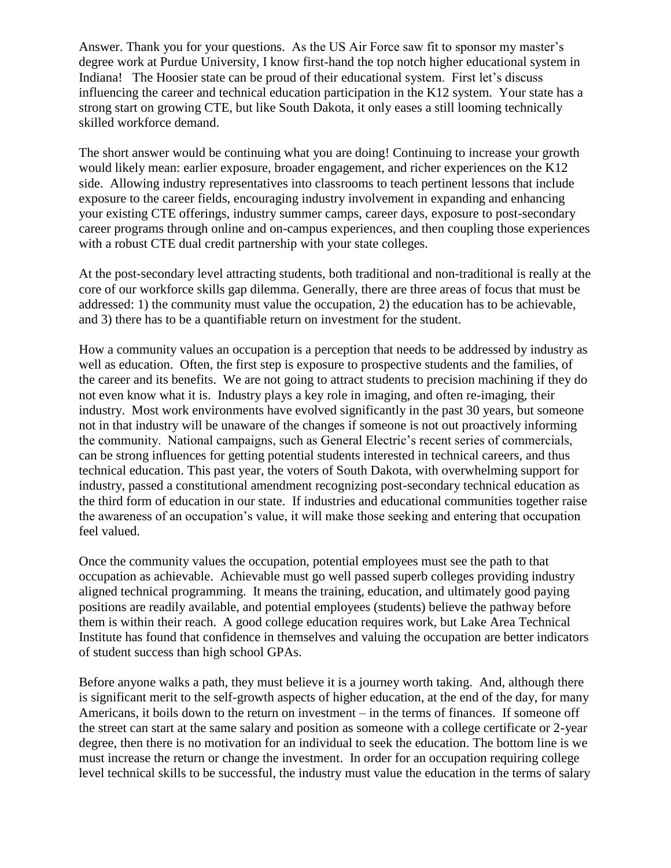Answer. Thank you for your questions. As the US Air Force saw fit to sponsor my master's degree work at Purdue University, I know first-hand the top notch higher educational system in Indiana! The Hoosier state can be proud of their educational system. First let's discuss influencing the career and technical education participation in the K12 system. Your state has a strong start on growing CTE, but like South Dakota, it only eases a still looming technically skilled workforce demand.

The short answer would be continuing what you are doing! Continuing to increase your growth would likely mean: earlier exposure, broader engagement, and richer experiences on the K12 side. Allowing industry representatives into classrooms to teach pertinent lessons that include exposure to the career fields, encouraging industry involvement in expanding and enhancing your existing CTE offerings, industry summer camps, career days, exposure to post-secondary career programs through online and on-campus experiences, and then coupling those experiences with a robust CTE dual credit partnership with your state colleges.

At the post-secondary level attracting students, both traditional and non-traditional is really at the core of our workforce skills gap dilemma. Generally, there are three areas of focus that must be addressed: 1) the community must value the occupation, 2) the education has to be achievable, and 3) there has to be a quantifiable return on investment for the student.

How a community values an occupation is a perception that needs to be addressed by industry as well as education. Often, the first step is exposure to prospective students and the families, of the career and its benefits. We are not going to attract students to precision machining if they do not even know what it is. Industry plays a key role in imaging, and often re-imaging, their industry. Most work environments have evolved significantly in the past 30 years, but someone not in that industry will be unaware of the changes if someone is not out proactively informing the community. National campaigns, such as General Electric's recent series of commercials, can be strong influences for getting potential students interested in technical careers, and thus technical education. This past year, the voters of South Dakota, with overwhelming support for industry, passed a constitutional amendment recognizing post-secondary technical education as the third form of education in our state. If industries and educational communities together raise the awareness of an occupation's value, it will make those seeking and entering that occupation feel valued.

Once the community values the occupation, potential employees must see the path to that occupation as achievable. Achievable must go well passed superb colleges providing industry aligned technical programming. It means the training, education, and ultimately good paying positions are readily available, and potential employees (students) believe the pathway before them is within their reach. A good college education requires work, but Lake Area Technical Institute has found that confidence in themselves and valuing the occupation are better indicators of student success than high school GPAs.

Before anyone walks a path, they must believe it is a journey worth taking. And, although there is significant merit to the self-growth aspects of higher education, at the end of the day, for many Americans, it boils down to the return on investment – in the terms of finances. If someone off the street can start at the same salary and position as someone with a college certificate or 2-year degree, then there is no motivation for an individual to seek the education. The bottom line is we must increase the return or change the investment. In order for an occupation requiring college level technical skills to be successful, the industry must value the education in the terms of salary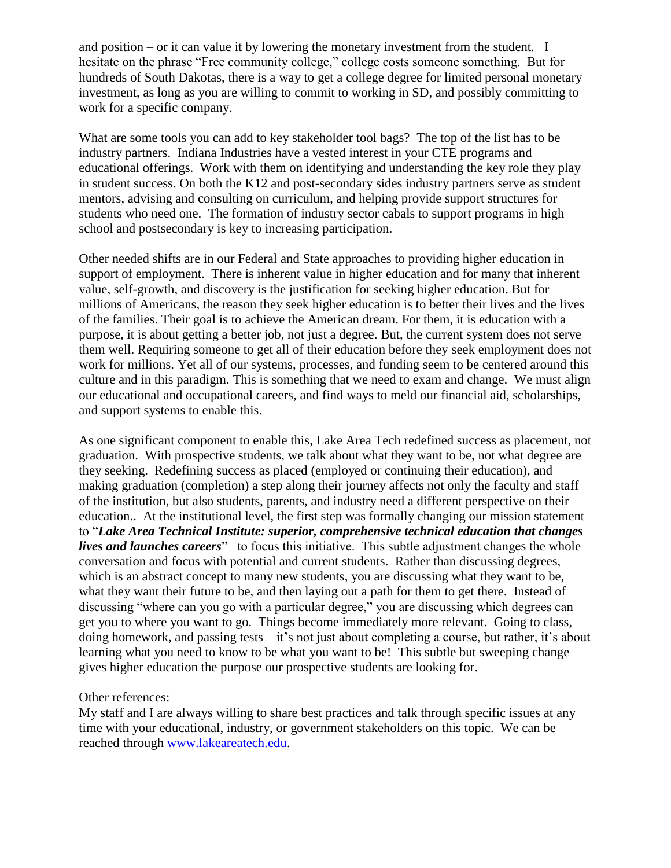and position – or it can value it by lowering the monetary investment from the student. I hesitate on the phrase "Free community college," college costs someone something. But for hundreds of South Dakotas, there is a way to get a college degree for limited personal monetary investment, as long as you are willing to commit to working in SD, and possibly committing to work for a specific company.

What are some tools you can add to key stakeholder tool bags? The top of the list has to be industry partners. Indiana Industries have a vested interest in your CTE programs and educational offerings. Work with them on identifying and understanding the key role they play in student success. On both the K12 and post-secondary sides industry partners serve as student mentors, advising and consulting on curriculum, and helping provide support structures for students who need one. The formation of industry sector cabals to support programs in high school and postsecondary is key to increasing participation.

Other needed shifts are in our Federal and State approaches to providing higher education in support of employment. There is inherent value in higher education and for many that inherent value, self-growth, and discovery is the justification for seeking higher education. But for millions of Americans, the reason they seek higher education is to better their lives and the lives of the families. Their goal is to achieve the American dream. For them, it is education with a purpose, it is about getting a better job, not just a degree. But, the current system does not serve them well. Requiring someone to get all of their education before they seek employment does not work for millions. Yet all of our systems, processes, and funding seem to be centered around this culture and in this paradigm. This is something that we need to exam and change. We must align our educational and occupational careers, and find ways to meld our financial aid, scholarships, and support systems to enable this.

As one significant component to enable this, Lake Area Tech redefined success as placement, not graduation. With prospective students, we talk about what they want to be, not what degree are they seeking. Redefining success as placed (employed or continuing their education), and making graduation (completion) a step along their journey affects not only the faculty and staff of the institution, but also students, parents, and industry need a different perspective on their education.. At the institutional level, the first step was formally changing our mission statement to "*Lake Area Technical Institute: superior, comprehensive technical education that changes lives and launches careers*" to focus this initiative. This subtle adjustment changes the whole conversation and focus with potential and current students. Rather than discussing degrees, which is an abstract concept to many new students, you are discussing what they want to be, what they want their future to be, and then laying out a path for them to get there. Instead of discussing "where can you go with a particular degree," you are discussing which degrees can get you to where you want to go. Things become immediately more relevant. Going to class, doing homework, and passing tests – it's not just about completing a course, but rather, it's about learning what you need to know to be what you want to be! This subtle but sweeping change gives higher education the purpose our prospective students are looking for.

Other references:

My staff and I are always willing to share best practices and talk through specific issues at any time with your educational, industry, or government stakeholders on this topic. We can be reached through [www.lakeareatech.edu.](http://www.lakeareatech.edu/)